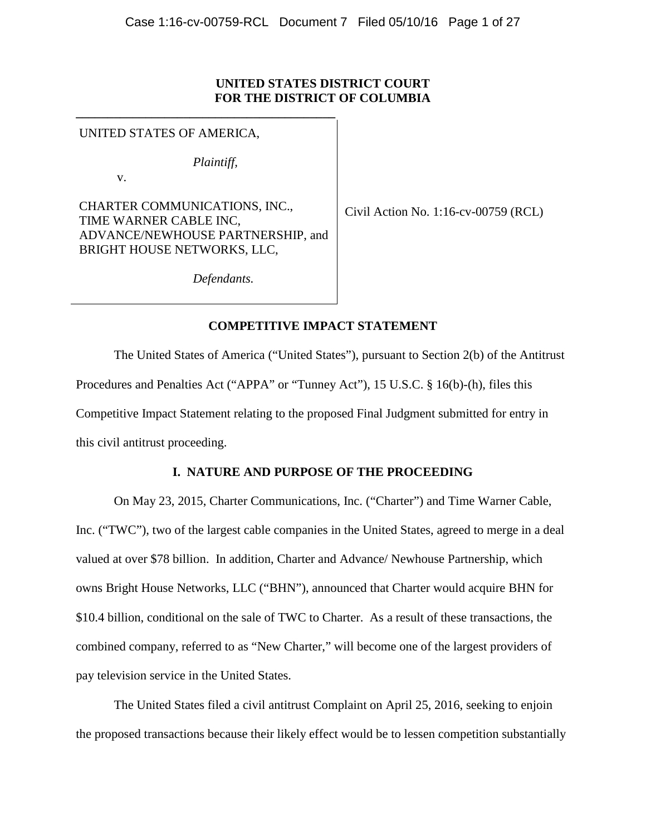## **UNITED STATES DISTRICT COURT FOR THE DISTRICT OF COLUMBIA**

UNITED STATES OF AMERICA,

*Plaintiff,*

**\_\_\_\_\_\_\_\_\_\_\_\_\_\_\_\_\_\_\_\_\_\_\_\_\_\_\_\_\_\_\_\_\_\_\_\_\_\_\_\_\_** 

v.

CHARTER COMMUNICATIONS, INC., TIME WARNER CABLE INC, ADVANCE/NEWHOUSE PARTNERSHIP, and BRIGHT HOUSE NETWORKS, LLC,

Civil Action No. 1:16-cv-00759 (RCL)

*Defendants.*

# **COMPETITIVE IMPACT STATEMENT**

The United States of America ("United States"), pursuant to Section 2(b) of the Antitrust Procedures and Penalties Act ("APPA" or "Tunney Act"), 15 U.S.C. § 16(b)-(h), files this Competitive Impact Statement relating to the proposed Final Judgment submitted for entry in this civil antitrust proceeding.

# **I. NATURE AND PURPOSE OF THE PROCEEDING**

On May 23, 2015, Charter Communications, Inc. ("Charter") and Time Warner Cable, Inc. ("TWC"), two of the largest cable companies in the United States, agreed to merge in a deal valued at over \$78 billion. In addition, Charter and Advance/ Newhouse Partnership, which owns Bright House Networks, LLC ("BHN"), announced that Charter would acquire BHN for \$10.4 billion, conditional on the sale of TWC to Charter. As a result of these transactions, the combined company, referred to as "New Charter," will become one of the largest providers of pay television service in the United States.

 The United States filed a civil antitrust Complaint on April 25, 2016, seeking to enjoin the proposed transactions because their likely effect would be to lessen competition substantially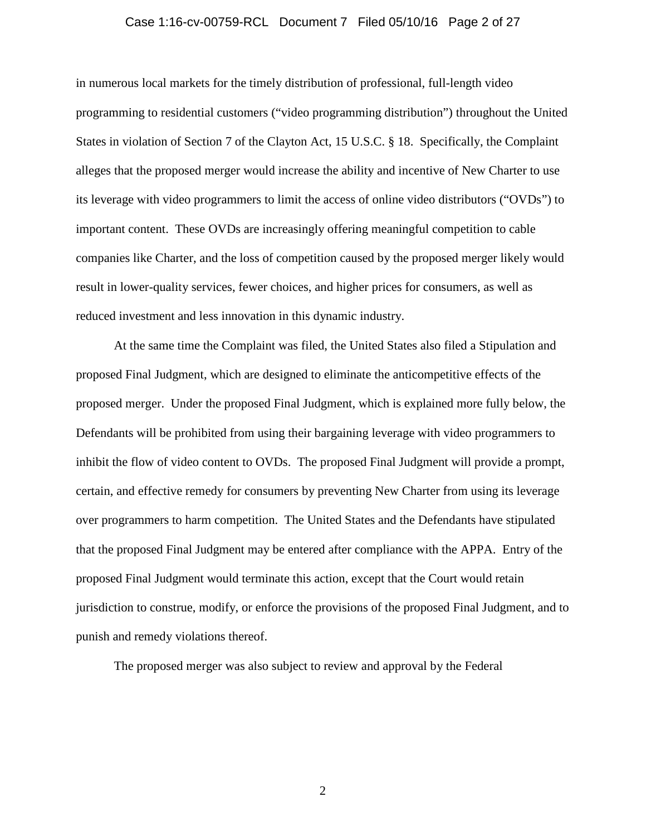### Case 1:16-cv-00759-RCL Document 7 Filed 05/10/16 Page 2 of 27

in numerous local markets for the timely distribution of professional, full-length video programming to residential customers ("video programming distribution") throughout the United States in violation of Section 7 of the Clayton Act, 15 U.S.C. § 18. Specifically, the Complaint alleges that the proposed merger would increase the ability and incentive of New Charter to use its leverage with video programmers to limit the access of online video distributors ("OVDs") to important content. These OVDs are increasingly offering meaningful competition to cable companies like Charter, and the loss of competition caused by the proposed merger likely would result in lower-quality services, fewer choices, and higher prices for consumers, as well as reduced investment and less innovation in this dynamic industry.

At the same time the Complaint was filed, the United States also filed a Stipulation and proposed Final Judgment, which are designed to eliminate the anticompetitive effects of the proposed merger. Under the proposed Final Judgment, which is explained more fully below, the Defendants will be prohibited from using their bargaining leverage with video programmers to inhibit the flow of video content to OVDs. The proposed Final Judgment will provide a prompt, certain, and effective remedy for consumers by preventing New Charter from using its leverage over programmers to harm competition. The United States and the Defendants have stipulated that the proposed Final Judgment may be entered after compliance with the APPA. Entry of the proposed Final Judgment would terminate this action, except that the Court would retain jurisdiction to construe, modify, or enforce the provisions of the proposed Final Judgment, and to punish and remedy violations thereof.

The proposed merger was also subject to review and approval by the Federal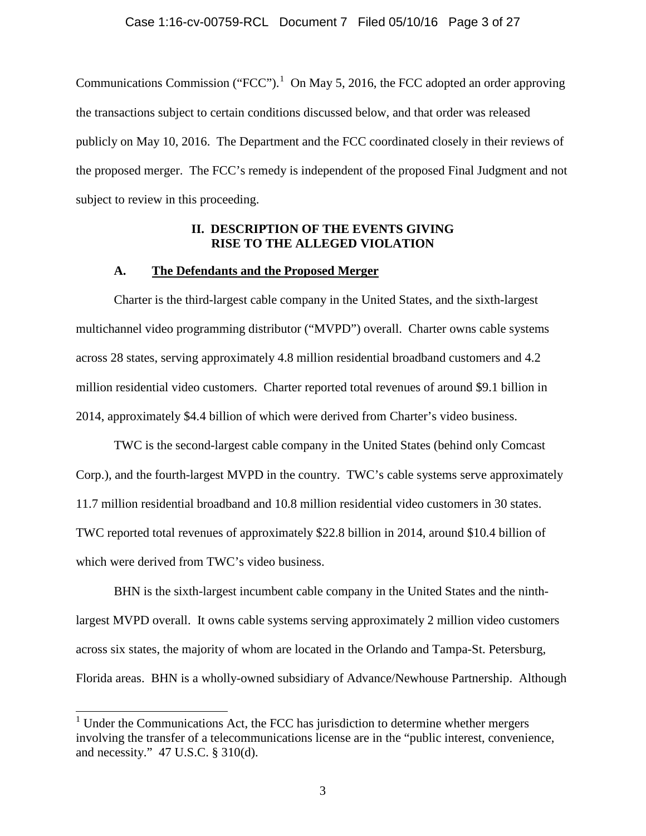Communications Commission ("FCC").<sup>1</sup> On May 5, 2016, the FCC adopted an order approving the transactions subject to certain conditions discussed below, and that order was released publicly on May 10, 2016. The Department and the FCC coordinated closely in their reviews of the proposed merger. The FCC's remedy is independent of the proposed Final Judgment and not subject to review in this proceeding.

### **II. DESCRIPTION OF THE EVENTS GIVING RISE TO THE ALLEGED VIOLATION**

#### **A. The Defendants and the Proposed Merger**

Charter is the third-largest cable company in the United States, and the sixth-largest multichannel video programming distributor ("MVPD") overall. Charter owns cable systems across 28 states, serving approximately 4.8 million residential broadband customers and 4.2 million residential video customers. Charter reported total revenues of around \$9.1 billion in 2014, approximately \$4.4 billion of which were derived from Charter's video business.

TWC is the second-largest cable company in the United States (behind only Comcast Corp.), and the fourth-largest MVPD in the country. TWC's cable systems serve approximately 11.7 million residential broadband and 10.8 million residential video customers in 30 states. TWC reported total revenues of approximately \$22.8 billion in 2014, around \$10.4 billion of which were derived from TWC's video business.

BHN is the sixth-largest incumbent cable company in the United States and the ninthlargest MVPD overall. It owns cable systems serving approximately 2 million video customers across six states, the majority of whom are located in the Orlando and Tampa-St. Petersburg, Florida areas. BHN is a wholly-owned subsidiary of Advance/Newhouse Partnership. Although

 $<sup>1</sup>$  Under the Communications Act, the FCC has jurisdiction to determine whether mergers</sup> involving the transfer of a telecommunications license are in the "public interest, convenience, and necessity." 47 U.S.C. § 310(d).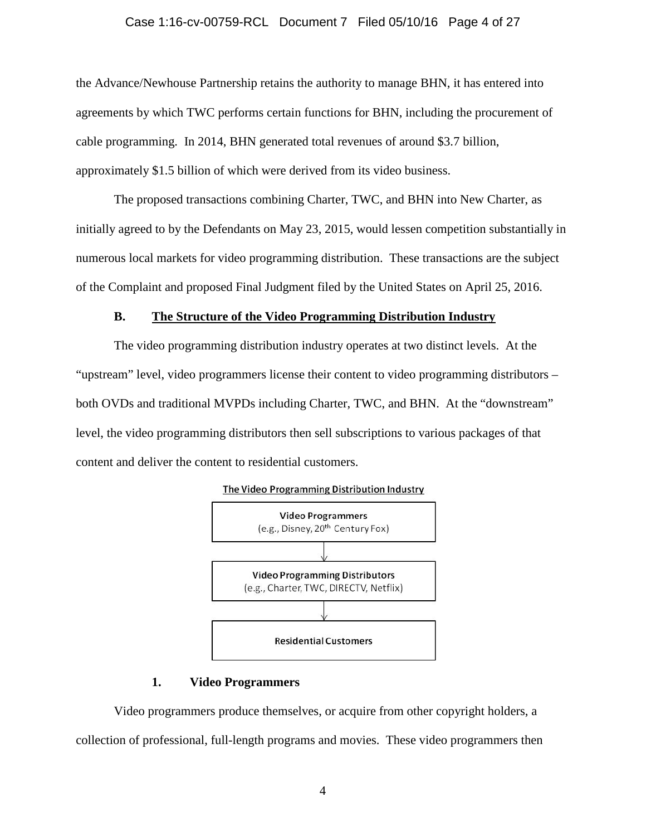### Case 1:16-cv-00759-RCL Document 7 Filed 05/10/16 Page 4 of 27

the Advance/Newhouse Partnership retains the authority to manage BHN, it has entered into agreements by which TWC performs certain functions for BHN, including the procurement of cable programming. In 2014, BHN generated total revenues of around \$3.7 billion, approximately \$1.5 billion of which were derived from its video business.

The proposed transactions combining Charter, TWC, and BHN into New Charter, as initially agreed to by the Defendants on May 23, 2015, would lessen competition substantially in numerous local markets for video programming distribution. These transactions are the subject of the Complaint and proposed Final Judgment filed by the United States on April 25, 2016.

### **B. The Structure of the Video Programming Distribution Industry**

The video programming distribution industry operates at two distinct levels. At the "upstream" level, video programmers license their content to video programming distributors – both OVDs and traditional MVPDs including Charter, TWC, and BHN. At the "downstream" level, the video programming distributors then sell subscriptions to various packages of that content and deliver the content to residential customers.



#### **1. Video Programmers**

Video programmers produce themselves, or acquire from other copyright holders, a collection of professional, full-length programs and movies. These video programmers then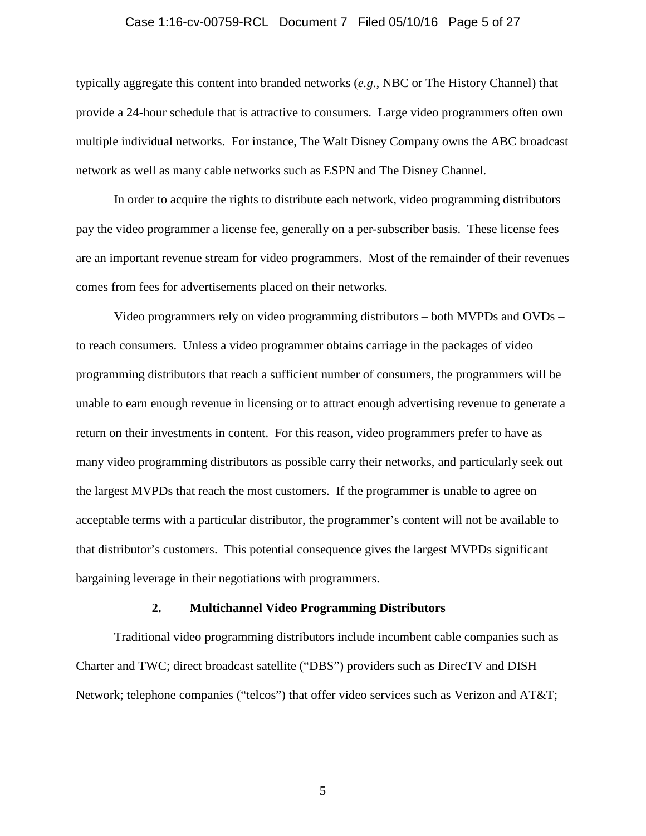#### Case 1:16-cv-00759-RCL Document 7 Filed 05/10/16 Page 5 of 27

typically aggregate this content into branded networks (*e.g.*, NBC or The History Channel) that provide a 24-hour schedule that is attractive to consumers. Large video programmers often own multiple individual networks. For instance, The Walt Disney Company owns the ABC broadcast network as well as many cable networks such as ESPN and The Disney Channel.

In order to acquire the rights to distribute each network, video programming distributors pay the video programmer a license fee, generally on a per-subscriber basis. These license fees are an important revenue stream for video programmers. Most of the remainder of their revenues comes from fees for advertisements placed on their networks.

Video programmers rely on video programming distributors – both MVPDs and OVDs – to reach consumers. Unless a video programmer obtains carriage in the packages of video programming distributors that reach a sufficient number of consumers, the programmers will be unable to earn enough revenue in licensing or to attract enough advertising revenue to generate a return on their investments in content. For this reason, video programmers prefer to have as many video programming distributors as possible carry their networks, and particularly seek out the largest MVPDs that reach the most customers. If the programmer is unable to agree on acceptable terms with a particular distributor, the programmer's content will not be available to that distributor's customers. This potential consequence gives the largest MVPDs significant bargaining leverage in their negotiations with programmers.

#### **2. Multichannel Video Programming Distributors**

 Traditional video programming distributors include incumbent cable companies such as Charter and TWC; direct broadcast satellite ("DBS") providers such as DirecTV and DISH Network; telephone companies ("telcos") that offer video services such as Verizon and AT&T;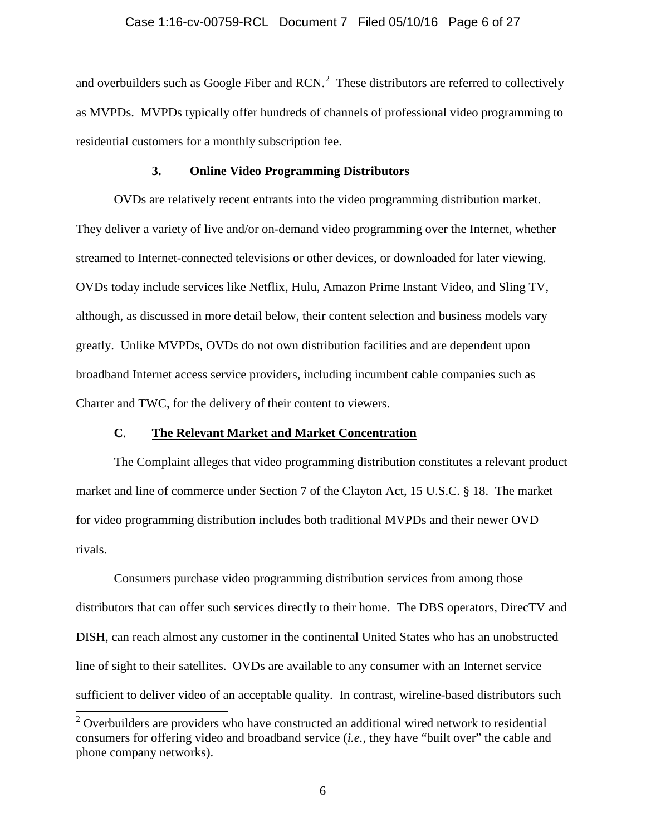#### Case 1:16-cv-00759-RCL Document 7 Filed 05/10/16 Page 6 of 27

and overbuilders such as Google Fiber and RCN. $<sup>2</sup>$  These distributors are referred to collectively</sup> as MVPDs. MVPDs typically offer hundreds of channels of professional video programming to residential customers for a monthly subscription fee.

#### **3. Online Video Programming Distributors**

 OVDs are relatively recent entrants into the video programming distribution market. They deliver a variety of live and/or on-demand video programming over the Internet, whether streamed to Internet-connected televisions or other devices, or downloaded for later viewing. OVDs today include services like Netflix, Hulu, Amazon Prime Instant Video, and Sling TV, although, as discussed in more detail below, their content selection and business models vary greatly. Unlike MVPDs, OVDs do not own distribution facilities and are dependent upon broadband Internet access service providers, including incumbent cable companies such as Charter and TWC, for the delivery of their content to viewers.

### **C**. **The Relevant Market and Market Concentration**

The Complaint alleges that video programming distribution constitutes a relevant product market and line of commerce under Section 7 of the Clayton Act, 15 U.S.C. § 18. The market for video programming distribution includes both traditional MVPDs and their newer OVD rivals.

 Consumers purchase video programming distribution services from among those distributors that can offer such services directly to their home. The DBS operators, DirecTV and DISH, can reach almost any customer in the continental United States who has an unobstructed line of sight to their satellites. OVDs are available to any consumer with an Internet service sufficient to deliver video of an acceptable quality. In contrast, wireline-based distributors such

 $2$  Overbuilders are providers who have constructed an additional wired network to residential consumers for offering video and broadband service (*i.e.*, they have "built over" the cable and phone company networks).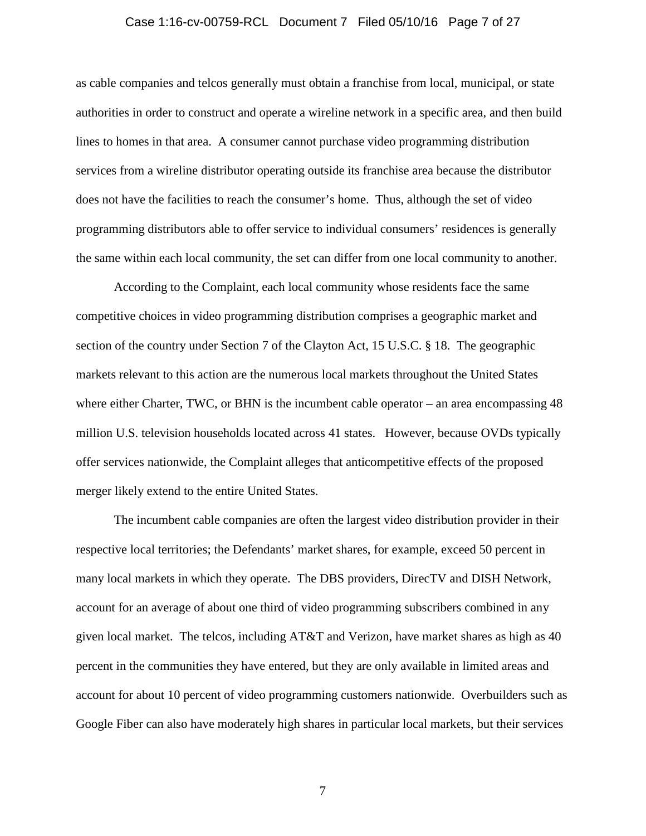#### Case 1:16-cv-00759-RCL Document 7 Filed 05/10/16 Page 7 of 27

as cable companies and telcos generally must obtain a franchise from local, municipal, or state authorities in order to construct and operate a wireline network in a specific area, and then build lines to homes in that area. A consumer cannot purchase video programming distribution services from a wireline distributor operating outside its franchise area because the distributor does not have the facilities to reach the consumer's home. Thus, although the set of video programming distributors able to offer service to individual consumers' residences is generally the same within each local community, the set can differ from one local community to another.

 According to the Complaint, each local community whose residents face the same competitive choices in video programming distribution comprises a geographic market and section of the country under Section 7 of the Clayton Act, 15 U.S.C. § 18. The geographic markets relevant to this action are the numerous local markets throughout the United States where either Charter, TWC, or BHN is the incumbent cable operator – an area encompassing 48 million U.S. television households located across 41 states. However, because OVDs typically offer services nationwide, the Complaint alleges that anticompetitive effects of the proposed merger likely extend to the entire United States.

 The incumbent cable companies are often the largest video distribution provider in their respective local territories; the Defendants' market shares, for example, exceed 50 percent in many local markets in which they operate. The DBS providers, DirecTV and DISH Network, account for an average of about one third of video programming subscribers combined in any given local market. The telcos, including AT&T and Verizon, have market shares as high as 40 percent in the communities they have entered, but they are only available in limited areas and account for about 10 percent of video programming customers nationwide. Overbuilders such as Google Fiber can also have moderately high shares in particular local markets, but their services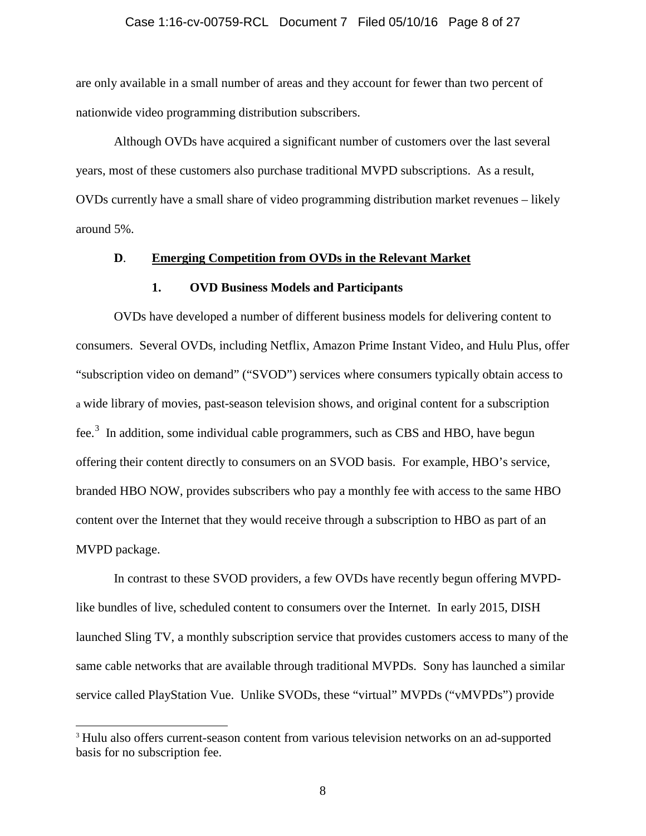#### Case 1:16-cv-00759-RCL Document 7 Filed 05/10/16 Page 8 of 27

are only available in a small number of areas and they account for fewer than two percent of nationwide video programming distribution subscribers.

Although OVDs have acquired a significant number of customers over the last several years, most of these customers also purchase traditional MVPD subscriptions. As a result, OVDs currently have a small share of video programming distribution market revenues – likely around 5%.

### **D**. **Emerging Competition from OVDs in the Relevant Market**

#### **1. OVD Business Models and Participants**

 OVDs have developed a number of different business models for delivering content to consumers. Several OVDs, including Netflix, Amazon Prime Instant Video, and Hulu Plus, offer "subscription video on demand" ("SVOD") services where consumers typically obtain access to a wide library of movies, past-season television shows, and original content for a subscription fee.<sup>3</sup> In addition, some individual cable programmers, such as CBS and HBO, have begun offering their content directly to consumers on an SVOD basis. For example, HBO's service, branded HBO NOW, provides subscribers who pay a monthly fee with access to the same HBO content over the Internet that they would receive through a subscription to HBO as part of an MVPD package.

In contrast to these SVOD providers, a few OVDs have recently begun offering MVPDlike bundles of live, scheduled content to consumers over the Internet. In early 2015, DISH launched Sling TV, a monthly subscription service that provides customers access to many of the same cable networks that are available through traditional MVPDs. Sony has launched a similar service called PlayStation Vue. Unlike SVODs, these "virtual" MVPDs ("vMVPDs") provide

<sup>&</sup>lt;sup>3</sup> Hulu also offers current-season content from various television networks on an ad-supported basis for no subscription fee.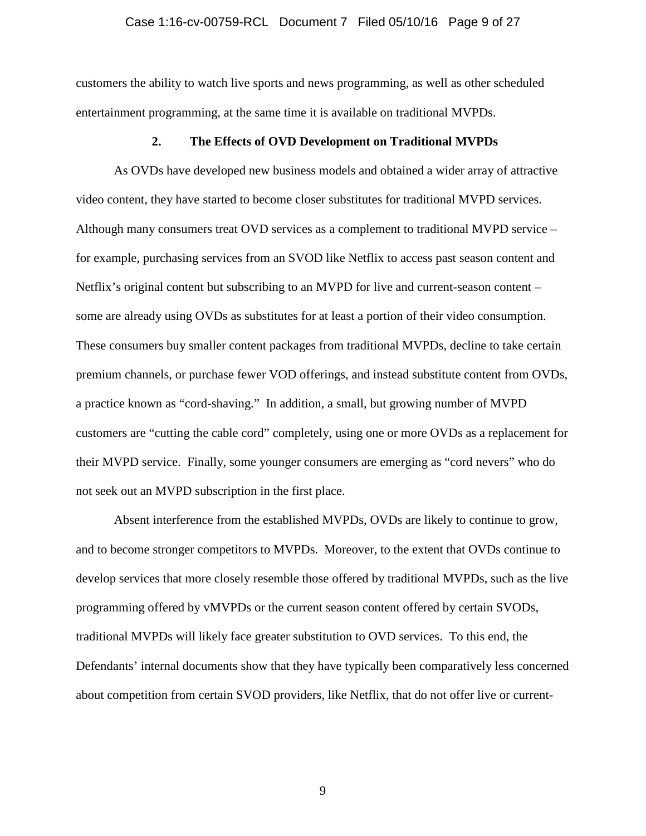### Case 1:16-cv-00759-RCL Document 7 Filed 05/10/16 Page 9 of 27

customers the ability to watch live sports and news programming, as well as other scheduled entertainment programming, at the same time it is available on traditional MVPDs.

### **2. The Effects of OVD Development on Traditional MVPDs**

As OVDs have developed new business models and obtained a wider array of attractive video content, they have started to become closer substitutes for traditional MVPD services. Although many consumers treat OVD services as a complement to traditional MVPD service – for example, purchasing services from an SVOD like Netflix to access past season content and Netflix's original content but subscribing to an MVPD for live and current-season content – some are already using OVDs as substitutes for at least a portion of their video consumption. These consumers buy smaller content packages from traditional MVPDs, decline to take certain premium channels, or purchase fewer VOD offerings, and instead substitute content from OVDs, a practice known as "cord-shaving." In addition, a small, but growing number of MVPD customers are "cutting the cable cord" completely, using one or more OVDs as a replacement for their MVPD service. Finally, some younger consumers are emerging as "cord nevers" who do not seek out an MVPD subscription in the first place.

 Absent interference from the established MVPDs, OVDs are likely to continue to grow, and to become stronger competitors to MVPDs. Moreover, to the extent that OVDs continue to develop services that more closely resemble those offered by traditional MVPDs, such as the live programming offered by vMVPDs or the current season content offered by certain SVODs, traditional MVPDs will likely face greater substitution to OVD services. To this end, the Defendants' internal documents show that they have typically been comparatively less concerned about competition from certain SVOD providers, like Netflix, that do not offer live or current-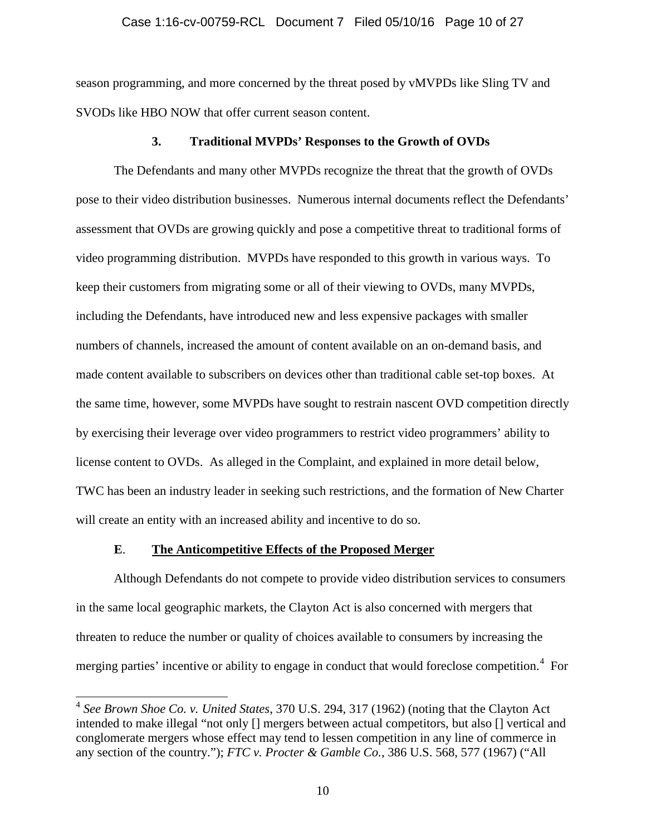### Case 1:16-cv-00759-RCL Document 7 Filed 05/10/16 Page 10 of 27

season programming, and more concerned by the threat posed by vMVPDs like Sling TV and SVODs like HBO NOW that offer current season content.

#### **3. Traditional MVPDs' Responses to the Growth of OVDs**

The Defendants and many other MVPDs recognize the threat that the growth of OVDs pose to their video distribution businesses. Numerous internal documents reflect the Defendants' assessment that OVDs are growing quickly and pose a competitive threat to traditional forms of video programming distribution. MVPDs have responded to this growth in various ways. To keep their customers from migrating some or all of their viewing to OVDs, many MVPDs, including the Defendants, have introduced new and less expensive packages with smaller numbers of channels, increased the amount of content available on an on-demand basis, and made content available to subscribers on devices other than traditional cable set-top boxes. At the same time, however, some MVPDs have sought to restrain nascent OVD competition directly by exercising their leverage over video programmers to restrict video programmers' ability to license content to OVDs. As alleged in the Complaint, and explained in more detail below, TWC has been an industry leader in seeking such restrictions, and the formation of New Charter will create an entity with an increased ability and incentive to do so.

### **E**. **The Anticompetitive Effects of the Proposed Merger**

 $\overline{a}$ 

 Although Defendants do not compete to provide video distribution services to consumers in the same local geographic markets, the Clayton Act is also concerned with mergers that threaten to reduce the number or quality of choices available to consumers by increasing the merging parties' incentive or ability to engage in conduct that would foreclose competition.<sup>4</sup> For

<sup>4</sup> *See Brown Shoe Co. v. United States*, 370 U.S. 294, 317 (1962) (noting that the Clayton Act intended to make illegal "not only [] mergers between actual competitors, but also [] vertical and conglomerate mergers whose effect may tend to lessen competition in any line of commerce in any section of the country."); *FTC v. Procter & Gamble Co.*, 386 U.S. 568, 577 (1967) ("All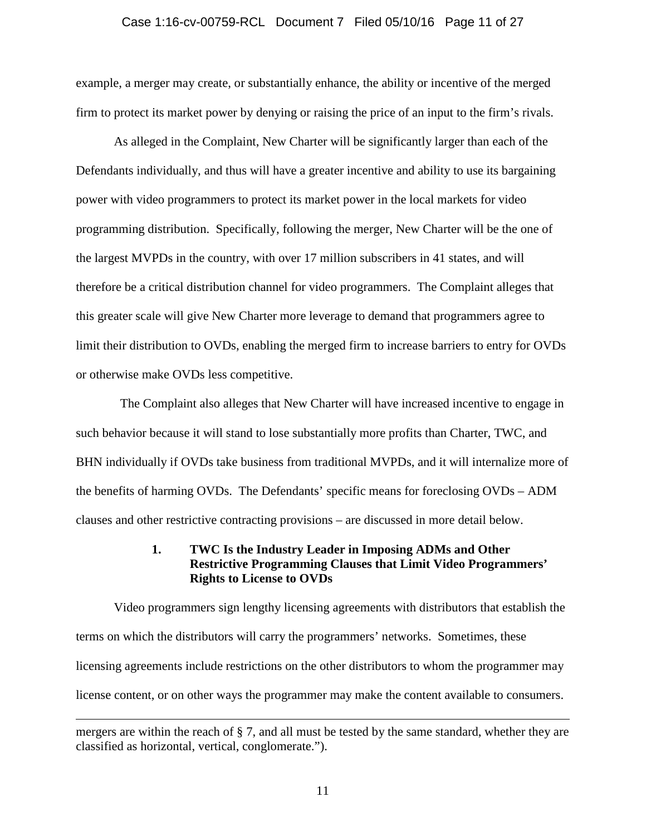## Case 1:16-cv-00759-RCL Document 7 Filed 05/10/16 Page 11 of 27

example, a merger may create, or substantially enhance, the ability or incentive of the merged firm to protect its market power by denying or raising the price of an input to the firm's rivals.

As alleged in the Complaint, New Charter will be significantly larger than each of the Defendants individually, and thus will have a greater incentive and ability to use its bargaining power with video programmers to protect its market power in the local markets for video programming distribution. Specifically, following the merger, New Charter will be the one of the largest MVPDs in the country, with over 17 million subscribers in 41 states, and will therefore be a critical distribution channel for video programmers. The Complaint alleges that this greater scale will give New Charter more leverage to demand that programmers agree to limit their distribution to OVDs, enabling the merged firm to increase barriers to entry for OVDs or otherwise make OVDs less competitive.

 The Complaint also alleges that New Charter will have increased incentive to engage in such behavior because it will stand to lose substantially more profits than Charter, TWC, and BHN individually if OVDs take business from traditional MVPDs, and it will internalize more of the benefits of harming OVDs. The Defendants' specific means for foreclosing OVDs – ADM clauses and other restrictive contracting provisions – are discussed in more detail below.

### **1. TWC Is the Industry Leader in Imposing ADMs and Other Restrictive Programming Clauses that Limit Video Programmers' Rights to License to OVDs**

Video programmers sign lengthy licensing agreements with distributors that establish the terms on which the distributors will carry the programmers' networks. Sometimes, these licensing agreements include restrictions on the other distributors to whom the programmer may license content, or on other ways the programmer may make the content available to consumers.

mergers are within the reach of § 7, and all must be tested by the same standard, whether they are classified as horizontal, vertical, conglomerate.").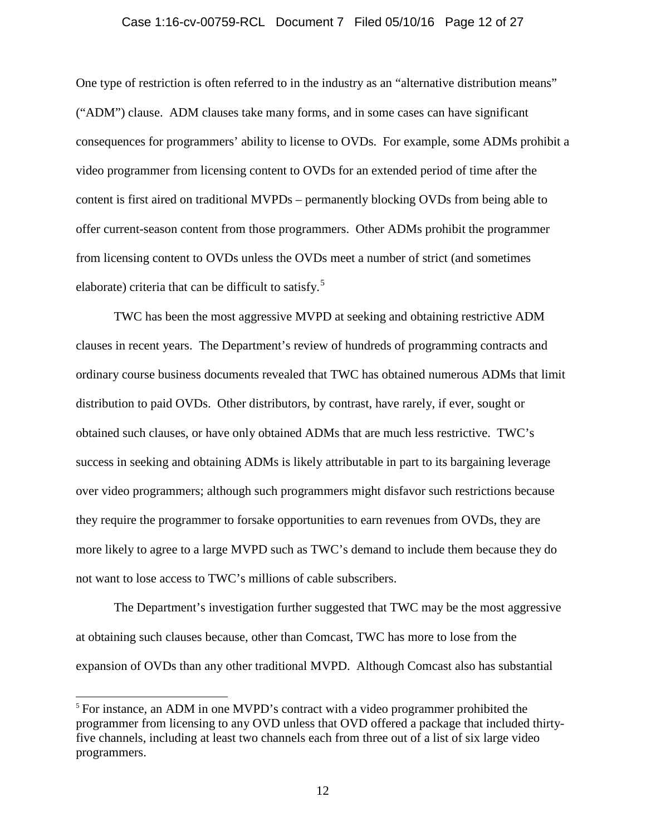## Case 1:16-cv-00759-RCL Document 7 Filed 05/10/16 Page 12 of 27

One type of restriction is often referred to in the industry as an "alternative distribution means" ("ADM") clause. ADM clauses take many forms, and in some cases can have significant consequences for programmers' ability to license to OVDs. For example, some ADMs prohibit a video programmer from licensing content to OVDs for an extended period of time after the content is first aired on traditional MVPDs – permanently blocking OVDs from being able to offer current-season content from those programmers. Other ADMs prohibit the programmer from licensing content to OVDs unless the OVDs meet a number of strict (and sometimes elaborate) criteria that can be difficult to satisfy.<sup>5</sup>

 TWC has been the most aggressive MVPD at seeking and obtaining restrictive ADM clauses in recent years. The Department's review of hundreds of programming contracts and ordinary course business documents revealed that TWC has obtained numerous ADMs that limit distribution to paid OVDs. Other distributors, by contrast, have rarely, if ever, sought or obtained such clauses, or have only obtained ADMs that are much less restrictive. TWC's success in seeking and obtaining ADMs is likely attributable in part to its bargaining leverage over video programmers; although such programmers might disfavor such restrictions because they require the programmer to forsake opportunities to earn revenues from OVDs, they are more likely to agree to a large MVPD such as TWC's demand to include them because they do not want to lose access to TWC's millions of cable subscribers.

The Department's investigation further suggested that TWC may be the most aggressive at obtaining such clauses because, other than Comcast, TWC has more to lose from the expansion of OVDs than any other traditional MVPD. Although Comcast also has substantial

<sup>&</sup>lt;sup>5</sup> For instance, an ADM in one MVPD's contract with a video programmer prohibited the programmer from licensing to any OVD unless that OVD offered a package that included thirtyfive channels, including at least two channels each from three out of a list of six large video programmers.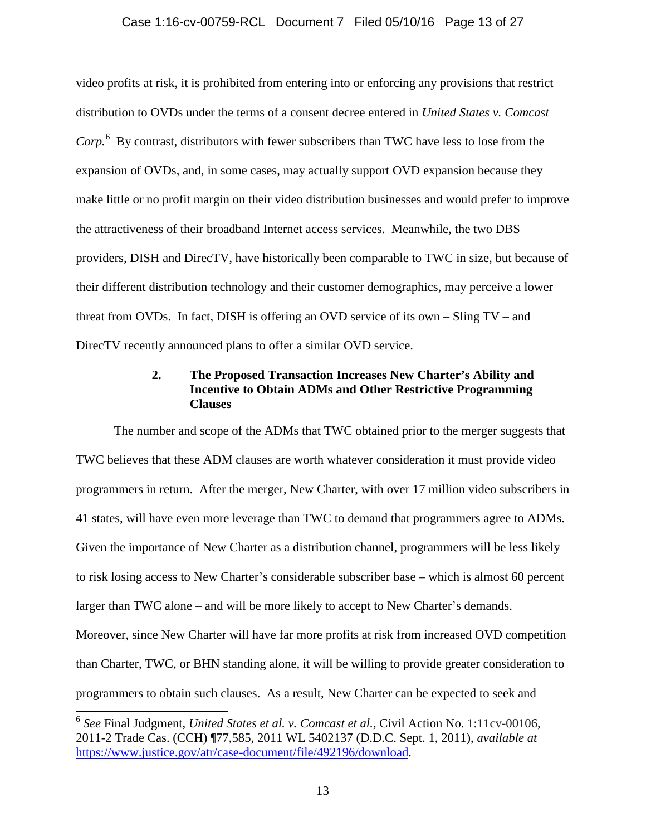## Case 1:16-cv-00759-RCL Document 7 Filed 05/10/16 Page 13 of 27

video profits at risk, it is prohibited from entering into or enforcing any provisions that restrict distribution to OVDs under the terms of a consent decree entered in *United States v. Comcast*  Corp.<sup>6</sup> By contrast, distributors with fewer subscribers than TWC have less to lose from the expansion of OVDs, and, in some cases, may actually support OVD expansion because they make little or no profit margin on their video distribution businesses and would prefer to improve the attractiveness of their broadband Internet access services. Meanwhile, the two DBS providers, DISH and DirecTV, have historically been comparable to TWC in size, but because of their different distribution technology and their customer demographics, may perceive a lower threat from OVDs. In fact, DISH is offering an OVD service of its own – Sling TV – and DirecTV recently announced plans to offer a similar OVD service.

## **2. The Proposed Transaction Increases New Charter's Ability and Incentive to Obtain ADMs and Other Restrictive Programming Clauses**

The number and scope of the ADMs that TWC obtained prior to the merger suggests that TWC believes that these ADM clauses are worth whatever consideration it must provide video programmers in return. After the merger, New Charter, with over 17 million video subscribers in 41 states, will have even more leverage than TWC to demand that programmers agree to ADMs. Given the importance of New Charter as a distribution channel, programmers will be less likely to risk losing access to New Charter's considerable subscriber base – which is almost 60 percent larger than TWC alone – and will be more likely to accept to New Charter's demands. Moreover, since New Charter will have far more profits at risk from increased OVD competition than Charter, TWC, or BHN standing alone, it will be willing to provide greater consideration to programmers to obtain such clauses. As a result, New Charter can be expected to seek and

<sup>6</sup> *See* Final Judgment, *United States et al. v. Comcast et al.,* Civil Action No. 1:11cv-00106, 2011-2 Trade Cas. (CCH) ¶77,585, 2011 WL 5402137 (D.D.C. Sept. 1, 2011), *available at* [https://www.justice.gov/atr/case-document/file/492196/download.](https://www.justice.gov/atr/case-document/file/492196/download)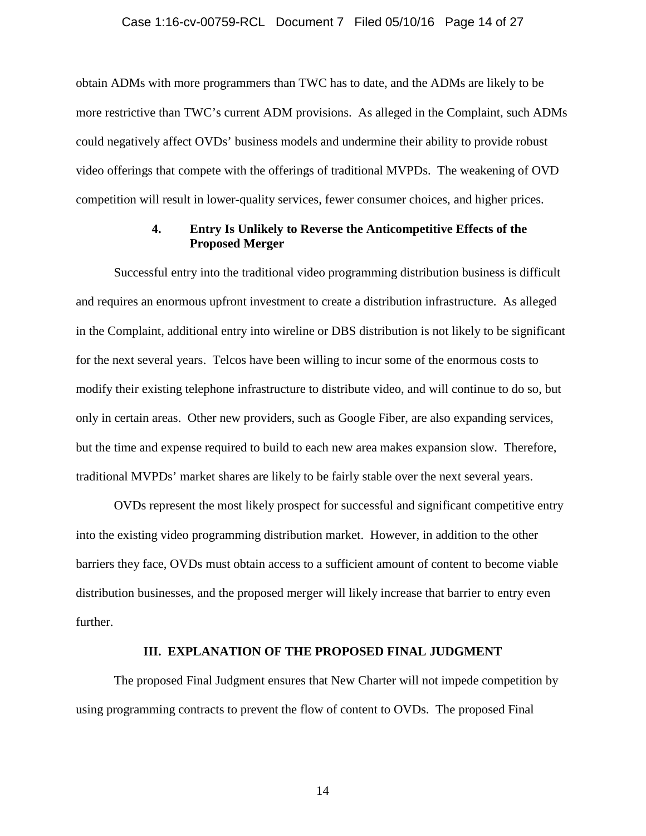#### Case 1:16-cv-00759-RCL Document 7 Filed 05/10/16 Page 14 of 27

obtain ADMs with more programmers than TWC has to date, and the ADMs are likely to be more restrictive than TWC's current ADM provisions. As alleged in the Complaint, such ADMs could negatively affect OVDs' business models and undermine their ability to provide robust video offerings that compete with the offerings of traditional MVPDs. The weakening of OVD competition will result in lower-quality services, fewer consumer choices, and higher prices.

### **4. Entry Is Unlikely to Reverse the Anticompetitive Effects of the Proposed Merger**

Successful entry into the traditional video programming distribution business is difficult and requires an enormous upfront investment to create a distribution infrastructure. As alleged in the Complaint, additional entry into wireline or DBS distribution is not likely to be significant for the next several years. Telcos have been willing to incur some of the enormous costs to modify their existing telephone infrastructure to distribute video, and will continue to do so, but only in certain areas. Other new providers, such as Google Fiber, are also expanding services, but the time and expense required to build to each new area makes expansion slow. Therefore, traditional MVPDs' market shares are likely to be fairly stable over the next several years.

 OVDs represent the most likely prospect for successful and significant competitive entry into the existing video programming distribution market. However, in addition to the other barriers they face, OVDs must obtain access to a sufficient amount of content to become viable distribution businesses, and the proposed merger will likely increase that barrier to entry even further.

### **III. EXPLANATION OF THE PROPOSED FINAL JUDGMENT**

 The proposed Final Judgment ensures that New Charter will not impede competition by using programming contracts to prevent the flow of content to OVDs. The proposed Final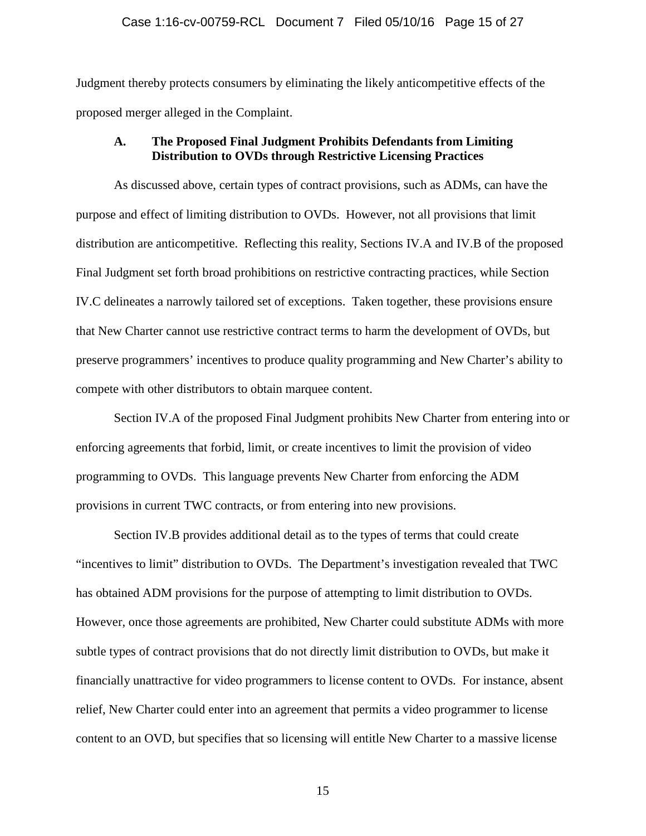#### Case 1:16-cv-00759-RCL Document 7 Filed 05/10/16 Page 15 of 27

Judgment thereby protects consumers by eliminating the likely anticompetitive effects of the proposed merger alleged in the Complaint.

### **A. The Proposed Final Judgment Prohibits Defendants from Limiting Distribution to OVDs through Restrictive Licensing Practices**

As discussed above, certain types of contract provisions, such as ADMs, can have the purpose and effect of limiting distribution to OVDs. However, not all provisions that limit distribution are anticompetitive. Reflecting this reality, Sections IV.A and IV.B of the proposed Final Judgment set forth broad prohibitions on restrictive contracting practices, while Section IV.C delineates a narrowly tailored set of exceptions. Taken together, these provisions ensure that New Charter cannot use restrictive contract terms to harm the development of OVDs, but preserve programmers' incentives to produce quality programming and New Charter's ability to compete with other distributors to obtain marquee content.

Section IV.A of the proposed Final Judgment prohibits New Charter from entering into or enforcing agreements that forbid, limit, or create incentives to limit the provision of video programming to OVDs. This language prevents New Charter from enforcing the ADM provisions in current TWC contracts, or from entering into new provisions.

Section IV.B provides additional detail as to the types of terms that could create "incentives to limit" distribution to OVDs. The Department's investigation revealed that TWC has obtained ADM provisions for the purpose of attempting to limit distribution to OVDs. However, once those agreements are prohibited, New Charter could substitute ADMs with more subtle types of contract provisions that do not directly limit distribution to OVDs, but make it financially unattractive for video programmers to license content to OVDs. For instance, absent relief, New Charter could enter into an agreement that permits a video programmer to license content to an OVD, but specifies that so licensing will entitle New Charter to a massive license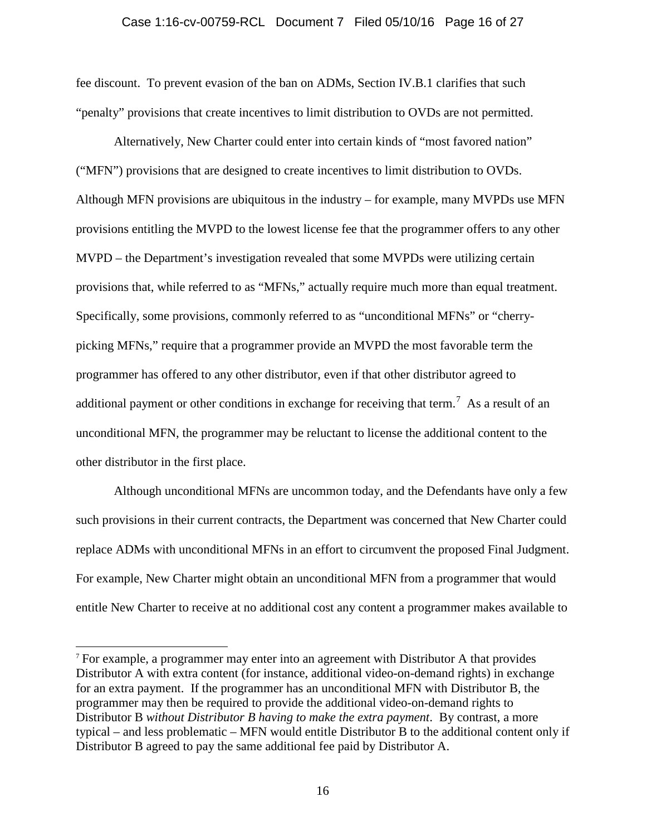## Case 1:16-cv-00759-RCL Document 7 Filed 05/10/16 Page 16 of 27

fee discount. To prevent evasion of the ban on ADMs, Section IV.B.1 clarifies that such "penalty" provisions that create incentives to limit distribution to OVDs are not permitted.

Alternatively, New Charter could enter into certain kinds of "most favored nation" ("MFN") provisions that are designed to create incentives to limit distribution to OVDs. Although MFN provisions are ubiquitous in the industry – for example, many MVPDs use MFN provisions entitling the MVPD to the lowest license fee that the programmer offers to any other MVPD – the Department's investigation revealed that some MVPDs were utilizing certain provisions that, while referred to as "MFNs," actually require much more than equal treatment. Specifically, some provisions, commonly referred to as "unconditional MFNs" or "cherrypicking MFNs," require that a programmer provide an MVPD the most favorable term the programmer has offered to any other distributor, even if that other distributor agreed to additional payment or other conditions in exchange for receiving that term.<sup>7</sup> As a result of an unconditional MFN, the programmer may be reluctant to license the additional content to the other distributor in the first place.

Although unconditional MFNs are uncommon today, and the Defendants have only a few such provisions in their current contracts, the Department was concerned that New Charter could replace ADMs with unconditional MFNs in an effort to circumvent the proposed Final Judgment. For example, New Charter might obtain an unconditional MFN from a programmer that would entitle New Charter to receive at no additional cost any content a programmer makes available to

<sup>7</sup> For example, a programmer may enter into an agreement with Distributor A that provides Distributor A with extra content (for instance, additional video-on-demand rights) in exchange for an extra payment. If the programmer has an unconditional MFN with Distributor B, the programmer may then be required to provide the additional video-on-demand rights to Distributor B *without Distributor B having to make the extra payment*. By contrast, a more typical – and less problematic – MFN would entitle Distributor B to the additional content only if Distributor B agreed to pay the same additional fee paid by Distributor A.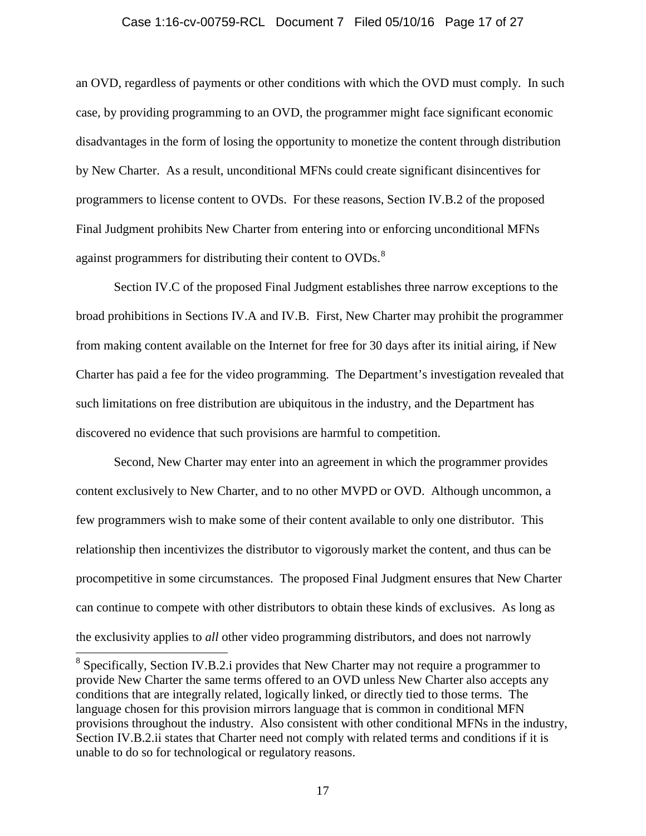#### Case 1:16-cv-00759-RCL Document 7 Filed 05/10/16 Page 17 of 27

an OVD, regardless of payments or other conditions with which the OVD must comply. In such case, by providing programming to an OVD, the programmer might face significant economic disadvantages in the form of losing the opportunity to monetize the content through distribution by New Charter. As a result, unconditional MFNs could create significant disincentives for programmers to license content to OVDs. For these reasons, Section IV.B.2 of the proposed Final Judgment prohibits New Charter from entering into or enforcing unconditional MFNs against programmers for distributing their content to OVDs.<sup>8</sup>

Section IV.C of the proposed Final Judgment establishes three narrow exceptions to the broad prohibitions in Sections IV.A and IV.B. First, New Charter may prohibit the programmer from making content available on the Internet for free for 30 days after its initial airing, if New Charter has paid a fee for the video programming. The Department's investigation revealed that such limitations on free distribution are ubiquitous in the industry, and the Department has discovered no evidence that such provisions are harmful to competition.

Second, New Charter may enter into an agreement in which the programmer provides content exclusively to New Charter, and to no other MVPD or OVD. Although uncommon, a few programmers wish to make some of their content available to only one distributor. This relationship then incentivizes the distributor to vigorously market the content, and thus can be procompetitive in some circumstances. The proposed Final Judgment ensures that New Charter can continue to compete with other distributors to obtain these kinds of exclusives. As long as the exclusivity applies to *all* other video programming distributors, and does not narrowly

 $8$  Specifically, Section IV.B.2.i provides that New Charter may not require a programmer to provide New Charter the same terms offered to an OVD unless New Charter also accepts any conditions that are integrally related, logically linked, or directly tied to those terms. The language chosen for this provision mirrors language that is common in conditional MFN provisions throughout the industry. Also consistent with other conditional MFNs in the industry, Section IV.B.2.ii states that Charter need not comply with related terms and conditions if it is unable to do so for technological or regulatory reasons.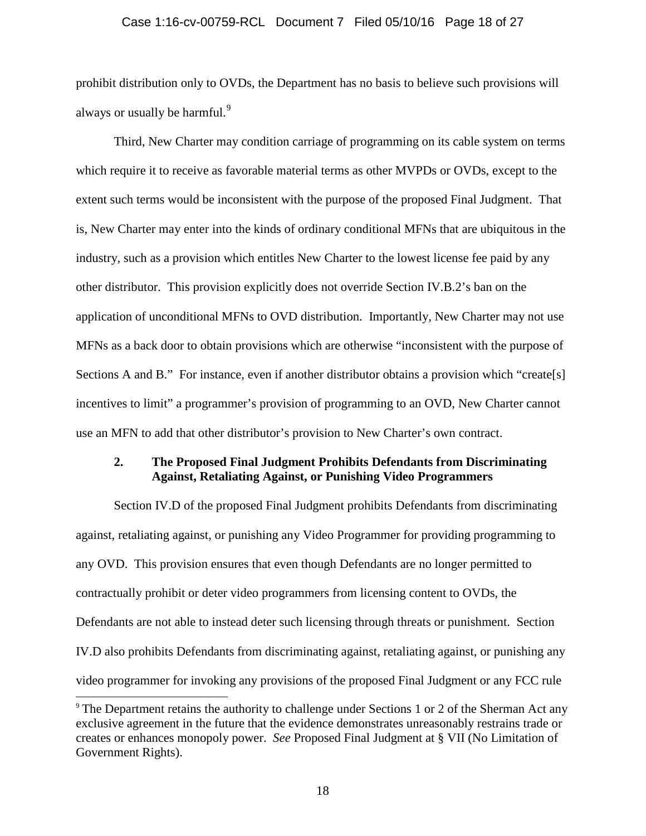## Case 1:16-cv-00759-RCL Document 7 Filed 05/10/16 Page 18 of 27

prohibit distribution only to OVDs, the Department has no basis to believe such provisions will always or usually be harmful.<sup>9</sup>

Third, New Charter may condition carriage of programming on its cable system on terms which require it to receive as favorable material terms as other MVPDs or OVDs, except to the extent such terms would be inconsistent with the purpose of the proposed Final Judgment. That is, New Charter may enter into the kinds of ordinary conditional MFNs that are ubiquitous in the industry, such as a provision which entitles New Charter to the lowest license fee paid by any other distributor. This provision explicitly does not override Section IV.B.2's ban on the application of unconditional MFNs to OVD distribution. Importantly, New Charter may not use MFNs as a back door to obtain provisions which are otherwise "inconsistent with the purpose of Sections A and B." For instance, even if another distributor obtains a provision which "create[s] incentives to limit" a programmer's provision of programming to an OVD, New Charter cannot use an MFN to add that other distributor's provision to New Charter's own contract.

## **2. The Proposed Final Judgment Prohibits Defendants from Discriminating Against, Retaliating Against, or Punishing Video Programmers**

Section IV.D of the proposed Final Judgment prohibits Defendants from discriminating against, retaliating against, or punishing any Video Programmer for providing programming to any OVD. This provision ensures that even though Defendants are no longer permitted to contractually prohibit or deter video programmers from licensing content to OVDs, the Defendants are not able to instead deter such licensing through threats or punishment. Section IV.D also prohibits Defendants from discriminating against, retaliating against, or punishing any video programmer for invoking any provisions of the proposed Final Judgment or any FCC rule

<sup>&</sup>lt;sup>9</sup> The Department retains the authority to challenge under Sections 1 or 2 of the Sherman Act any exclusive agreement in the future that the evidence demonstrates unreasonably restrains trade or creates or enhances monopoly power. *See* Proposed Final Judgment at § VII (No Limitation of Government Rights).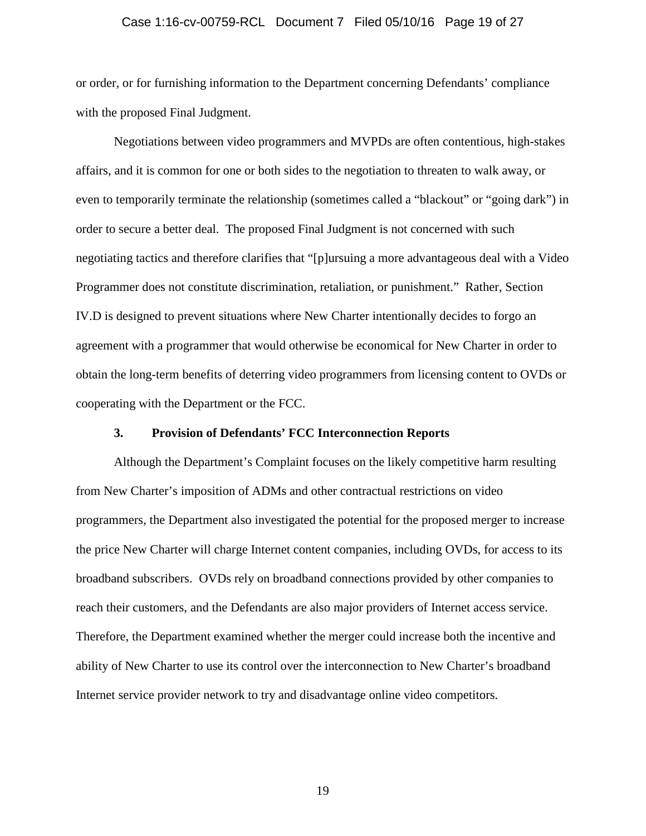## Case 1:16-cv-00759-RCL Document 7 Filed 05/10/16 Page 19 of 27

or order, or for furnishing information to the Department concerning Defendants' compliance with the proposed Final Judgment.

Negotiations between video programmers and MVPDs are often contentious, high-stakes affairs, and it is common for one or both sides to the negotiation to threaten to walk away, or even to temporarily terminate the relationship (sometimes called a "blackout" or "going dark") in order to secure a better deal. The proposed Final Judgment is not concerned with such negotiating tactics and therefore clarifies that "[p]ursuing a more advantageous deal with a Video Programmer does not constitute discrimination, retaliation, or punishment." Rather, Section IV.D is designed to prevent situations where New Charter intentionally decides to forgo an agreement with a programmer that would otherwise be economical for New Charter in order to obtain the long-term benefits of deterring video programmers from licensing content to OVDs or cooperating with the Department or the FCC.

### **3. Provision of Defendants' FCC Interconnection Reports**

Although the Department's Complaint focuses on the likely competitive harm resulting from New Charter's imposition of ADMs and other contractual restrictions on video programmers, the Department also investigated the potential for the proposed merger to increase the price New Charter will charge Internet content companies, including OVDs, for access to its broadband subscribers. OVDs rely on broadband connections provided by other companies to reach their customers, and the Defendants are also major providers of Internet access service. Therefore, the Department examined whether the merger could increase both the incentive and ability of New Charter to use its control over the interconnection to New Charter's broadband Internet service provider network to try and disadvantage online video competitors.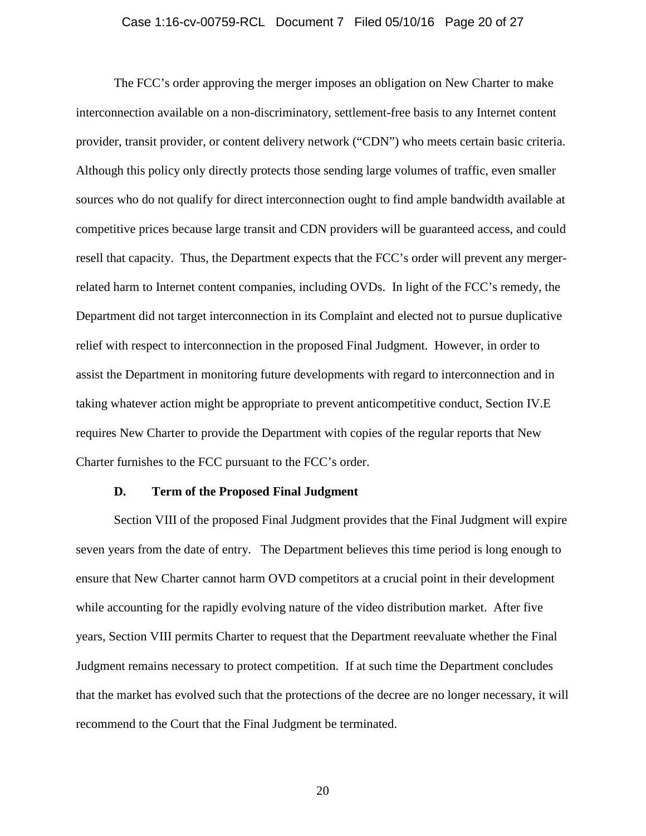## Case 1:16-cv-00759-RCL Document 7 Filed 05/10/16 Page 20 of 27

The FCC's order approving the merger imposes an obligation on New Charter to make interconnection available on a non-discriminatory, settlement-free basis to any Internet content provider, transit provider, or content delivery network ("CDN") who meets certain basic criteria. Although this policy only directly protects those sending large volumes of traffic, even smaller sources who do not qualify for direct interconnection ought to find ample bandwidth available at competitive prices because large transit and CDN providers will be guaranteed access, and could resell that capacity. Thus, the Department expects that the FCC's order will prevent any mergerrelated harm to Internet content companies, including OVDs. In light of the FCC's remedy, the Department did not target interconnection in its Complaint and elected not to pursue duplicative relief with respect to interconnection in the proposed Final Judgment. However, in order to assist the Department in monitoring future developments with regard to interconnection and in taking whatever action might be appropriate to prevent anticompetitive conduct, Section IV.E requires New Charter to provide the Department with copies of the regular reports that New Charter furnishes to the FCC pursuant to the FCC's order.

#### **D. Term of the Proposed Final Judgment**

Section VIII of the proposed Final Judgment provides that the Final Judgment will expire seven years from the date of entry. The Department believes this time period is long enough to ensure that New Charter cannot harm OVD competitors at a crucial point in their development while accounting for the rapidly evolving nature of the video distribution market. After five years, Section VIII permits Charter to request that the Department reevaluate whether the Final Judgment remains necessary to protect competition. If at such time the Department concludes that the market has evolved such that the protections of the decree are no longer necessary, it will recommend to the Court that the Final Judgment be terminated.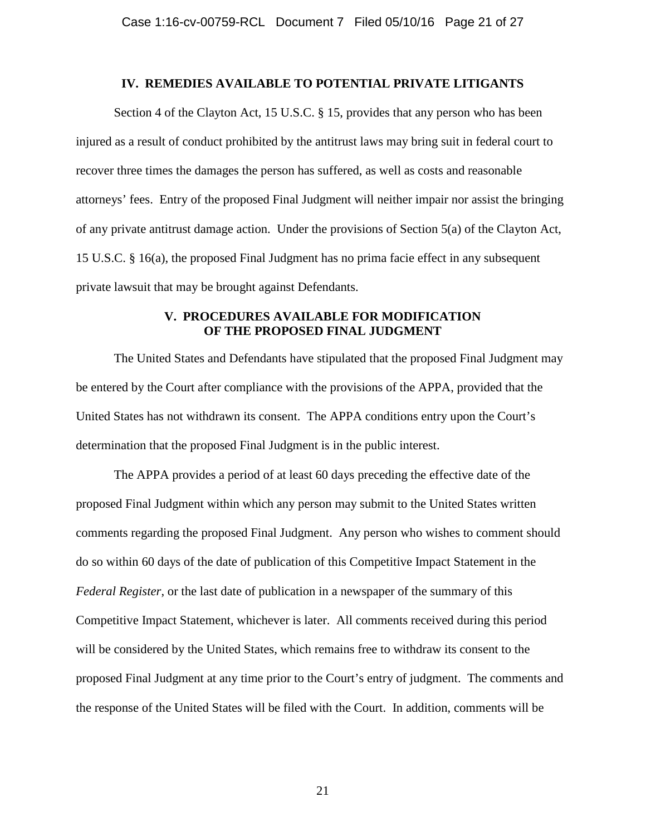#### **IV. REMEDIES AVAILABLE TO POTENTIAL PRIVATE LITIGANTS**

Section 4 of the Clayton Act, 15 U.S.C. § 15, provides that any person who has been injured as a result of conduct prohibited by the antitrust laws may bring suit in federal court to recover three times the damages the person has suffered, as well as costs and reasonable attorneys' fees. Entry of the proposed Final Judgment will neither impair nor assist the bringing of any private antitrust damage action. Under the provisions of Section 5(a) of the Clayton Act, 15 U.S.C. § 16(a), the proposed Final Judgment has no prima facie effect in any subsequent private lawsuit that may be brought against Defendants.

### **V. PROCEDURES AVAILABLE FOR MODIFICATION OF THE PROPOSED FINAL JUDGMENT**

The United States and Defendants have stipulated that the proposed Final Judgment may be entered by the Court after compliance with the provisions of the APPA, provided that the United States has not withdrawn its consent. The APPA conditions entry upon the Court's determination that the proposed Final Judgment is in the public interest.

The APPA provides a period of at least 60 days preceding the effective date of the proposed Final Judgment within which any person may submit to the United States written comments regarding the proposed Final Judgment. Any person who wishes to comment should do so within 60 days of the date of publication of this Competitive Impact Statement in the *Federal Register*, or the last date of publication in a newspaper of the summary of this Competitive Impact Statement, whichever is later. All comments received during this period will be considered by the United States, which remains free to withdraw its consent to the proposed Final Judgment at any time prior to the Court's entry of judgment. The comments and the response of the United States will be filed with the Court. In addition, comments will be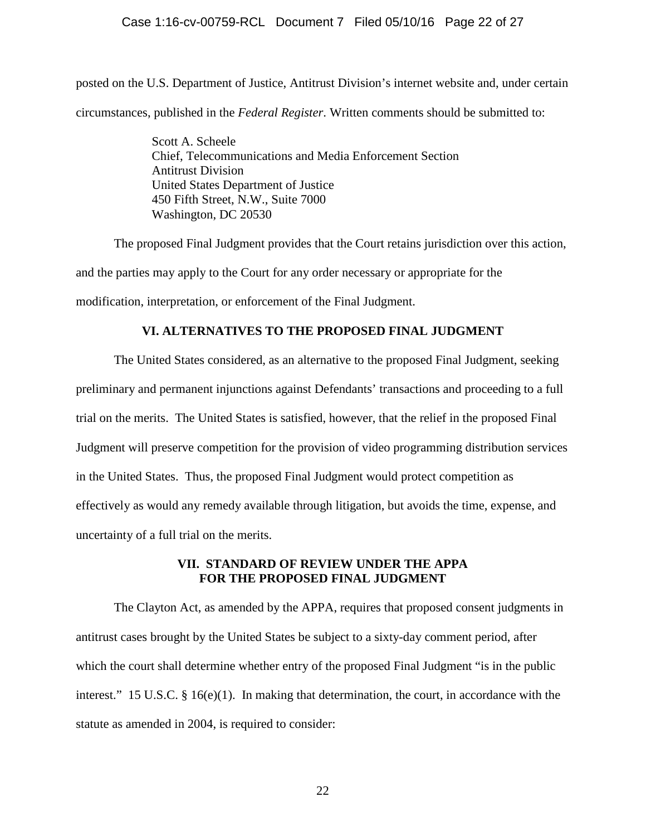## Case 1:16-cv-00759-RCL Document 7 Filed 05/10/16 Page 22 of 27

posted on the U.S. Department of Justice, Antitrust Division's internet website and, under certain circumstances, published in the *Federal Register*. Written comments should be submitted to:

> Scott A. Scheele Chief, Telecommunications and Media Enforcement Section Antitrust Division United States Department of Justice 450 Fifth Street, N.W., Suite 7000 Washington, DC 20530

The proposed Final Judgment provides that the Court retains jurisdiction over this action, and the parties may apply to the Court for any order necessary or appropriate for the modification, interpretation, or enforcement of the Final Judgment.

### **VI. ALTERNATIVES TO THE PROPOSED FINAL JUDGMENT**

The United States considered, as an alternative to the proposed Final Judgment, seeking preliminary and permanent injunctions against Defendants' transactions and proceeding to a full trial on the merits. The United States is satisfied, however, that the relief in the proposed Final Judgment will preserve competition for the provision of video programming distribution services in the United States. Thus, the proposed Final Judgment would protect competition as effectively as would any remedy available through litigation, but avoids the time, expense, and uncertainty of a full trial on the merits.

### **VII. STANDARD OF REVIEW UNDER THE APPA FOR THE PROPOSED FINAL JUDGMENT**

The Clayton Act, as amended by the APPA, requires that proposed consent judgments in antitrust cases brought by the United States be subject to a sixty-day comment period, after which the court shall determine whether entry of the proposed Final Judgment "is in the public interest." 15 U.S.C. § 16(e)(1). In making that determination, the court, in accordance with the statute as amended in 2004, is required to consider: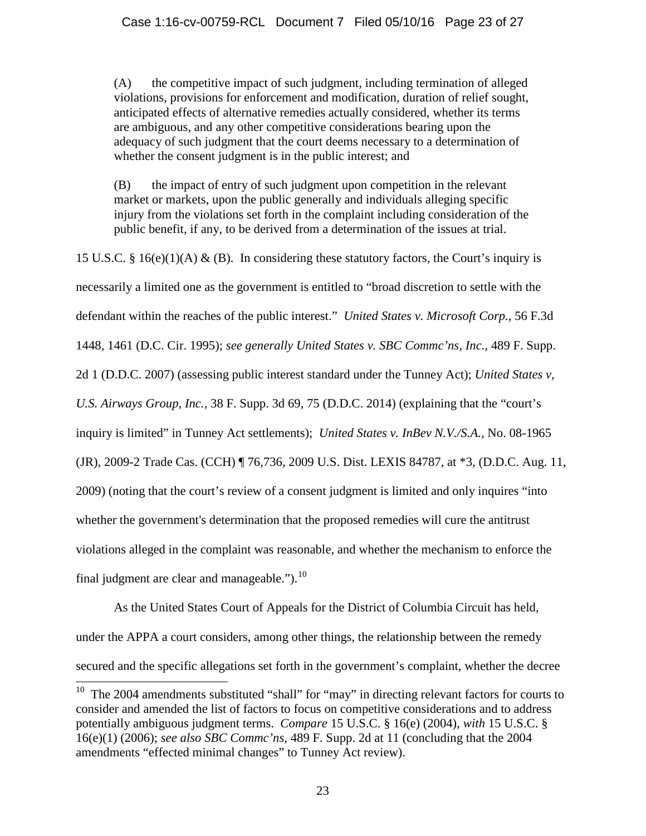(A) the competitive impact of such judgment, including termination of alleged violations, provisions for enforcement and modification, duration of relief sought, anticipated effects of alternative remedies actually considered, whether its terms are ambiguous, and any other competitive considerations bearing upon the adequacy of such judgment that the court deems necessary to a determination of whether the consent judgment is in the public interest; and

 (B) the impact of entry of such judgment upon competition in the relevant market or markets, upon the public generally and individuals alleging specific injury from the violations set forth in the complaint including consideration of the public benefit, if any, to be derived from a determination of the issues at trial.

15 U.S.C. § 16(e)(1)(A) & (B). In considering these statutory factors, the Court's inquiry is necessarily a limited one as the government is entitled to "broad discretion to settle with the defendant within the reaches of the public interest." *United States v. Microsoft Corp.*, 56 F.3d 1448, 1461 (D.C. Cir. 1995); *see generally United States v. SBC Commc'ns, Inc.*, 489 F. Supp. 2d 1 (D.D.C. 2007) (assessing public interest standard under the Tunney Act); *United States v, U.S. Airways Group, Inc.*, 38 F. Supp. 3d 69, 75 (D.D.C. 2014) (explaining that the "court's inquiry is limited" in Tunney Act settlements); *United States v. InBev N.V./S.A.*, No. 08-1965 (JR), 2009-2 Trade Cas. (CCH) ¶ 76,736, 2009 U.S. Dist. LEXIS 84787, at \*3, (D.D.C. Aug. 11, 2009) (noting that the court's review of a consent judgment is limited and only inquires "into whether the government's determination that the proposed remedies will cure the antitrust violations alleged in the complaint was reasonable, and whether the mechanism to enforce the final judgment are clear and manageable." $b^{10}$ .

As the United States Court of Appeals for the District of Columbia Circuit has held, under the APPA a court considers, among other things, the relationship between the remedy secured and the specific allegations set forth in the government's complaint, whether the decree

 $10$  The 2004 amendments substituted "shall" for "may" in directing relevant factors for courts to consider and amended the list of factors to focus on competitive considerations and to address potentially ambiguous judgment terms. *Compare* 15 U.S.C. § 16(e) (2004), *with* 15 U.S.C. § 16(e)(1) (2006); *see also SBC Commc'ns,* 489 F. Supp. 2d at 11 (concluding that the 2004 amendments "effected minimal changes" to Tunney Act review).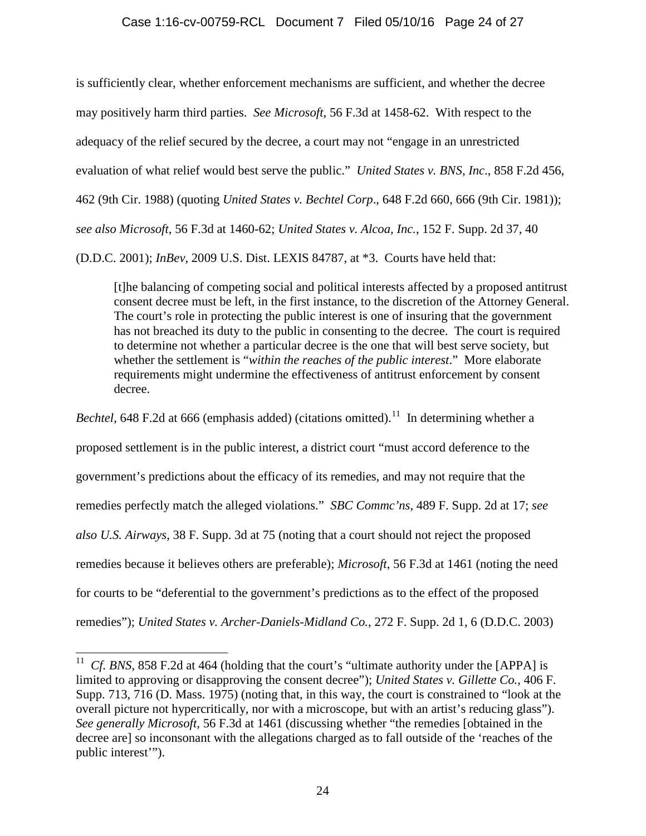### Case 1:16-cv-00759-RCL Document 7 Filed 05/10/16 Page 24 of 27

is sufficiently clear, whether enforcement mechanisms are sufficient, and whether the decree may positively harm third parties. *See Microsoft*, 56 F.3d at 1458-62. With respect to the adequacy of the relief secured by the decree, a court may not "engage in an unrestricted evaluation of what relief would best serve the public." *United States v. BNS, Inc*., 858 F.2d 456, 462 (9th Cir. 1988) (quoting *United States v. Bechtel Corp*., 648 F.2d 660, 666 (9th Cir. 1981)); *see also Microsoft*, 56 F.3d at 1460-62; *United States v. Alcoa, Inc.*, 152 F. Supp. 2d 37, 40 (D.D.C. 2001); *InBev*, 2009 U.S. Dist. LEXIS 84787, at \*3. Courts have held that:

 [t]he balancing of competing social and political interests affected by a proposed antitrust consent decree must be left, in the first instance, to the discretion of the Attorney General. The court's role in protecting the public interest is one of insuring that the government has not breached its duty to the public in consenting to the decree. The court is required to determine not whether a particular decree is the one that will best serve society, but whether the settlement is "*within the reaches of the public interest*." More elaborate requirements might undermine the effectiveness of antitrust enforcement by consent decree.

*Bechtel*, 648 F.2d at 666 (emphasis added) (citations omitted).<sup>11</sup> In determining whether a proposed settlement is in the public interest, a district court "must accord deference to the government's predictions about the efficacy of its remedies, and may not require that the remedies perfectly match the alleged violations." *SBC Commc'ns*, 489 F. Supp. 2d at 17; *see also U.S. Airways*, 38 F. Supp. 3d at 75 (noting that a court should not reject the proposed remedies because it believes others are preferable); *Microsoft*, 56 F.3d at 1461 (noting the need for courts to be "deferential to the government's predictions as to the effect of the proposed remedies"); *United States v. Archer-Daniels-Midland Co.*, 272 F. Supp. 2d 1, 6 (D.D.C. 2003)

*Cf. BNS*, 858 F.2d at 464 (holding that the court's "ultimate authority under the [APPA] is limited to approving or disapproving the consent decree"); *United States v. Gillette Co.*, 406 F. Supp. 713, 716 (D. Mass. 1975) (noting that, in this way, the court is constrained to "look at the overall picture not hypercritically, nor with a microscope, but with an artist's reducing glass"). *See generally Microsoft*, 56 F.3d at 1461 (discussing whether "the remedies [obtained in the decree are] so inconsonant with the allegations charged as to fall outside of the 'reaches of the public interest'").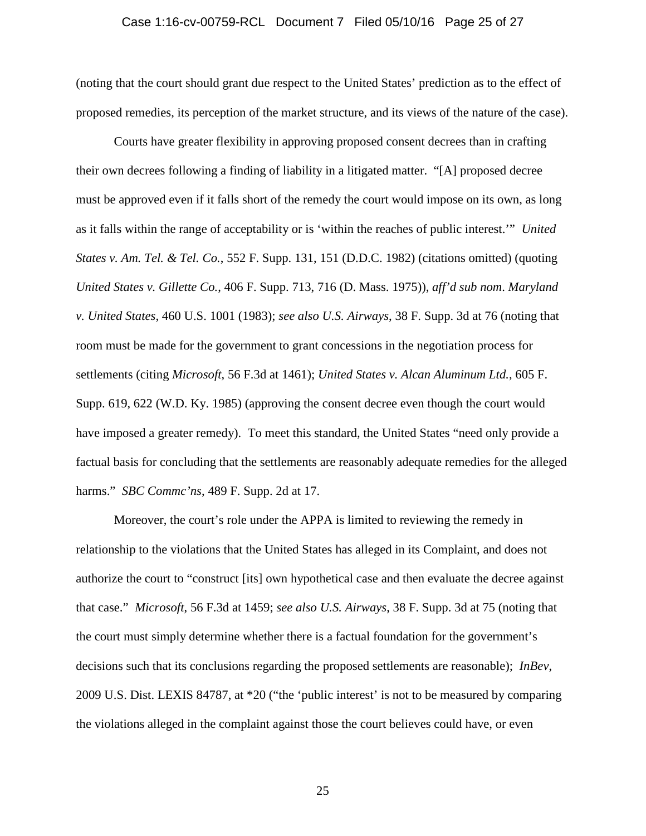## Case 1:16-cv-00759-RCL Document 7 Filed 05/10/16 Page 25 of 27

(noting that the court should grant due respect to the United States' prediction as to the effect of proposed remedies, its perception of the market structure, and its views of the nature of the case).

 Courts have greater flexibility in approving proposed consent decrees than in crafting their own decrees following a finding of liability in a litigated matter. "[A] proposed decree must be approved even if it falls short of the remedy the court would impose on its own, as long as it falls within the range of acceptability or is 'within the reaches of public interest.'" *United States v. Am. Tel. & Tel. Co.*, 552 F. Supp. 131, 151 (D.D.C. 1982) (citations omitted) (quoting *United States v. Gillette Co.*, 406 F. Supp. 713, 716 (D. Mass. 1975)), *aff'd sub nom*. *Maryland v. United States*, 460 U.S. 1001 (1983); *see also U.S. Airways*, 38 F. Supp. 3d at 76 (noting that room must be made for the government to grant concessions in the negotiation process for settlements (citing *Microsoft*, 56 F.3d at 1461); *United States v. Alcan Aluminum Ltd.*, 605 F. Supp. 619, 622 (W.D. Ky. 1985) (approving the consent decree even though the court would have imposed a greater remedy). To meet this standard, the United States "need only provide a factual basis for concluding that the settlements are reasonably adequate remedies for the alleged harms." *SBC Commc'ns*, 489 F. Supp. 2d at 17.

 Moreover, the court's role under the APPA is limited to reviewing the remedy in relationship to the violations that the United States has alleged in its Complaint, and does not authorize the court to "construct [its] own hypothetical case and then evaluate the decree against that case." *Microsoft*, 56 F.3d at 1459; *see also U.S. Airways*, 38 F. Supp. 3d at 75 (noting that the court must simply determine whether there is a factual foundation for the government's decisions such that its conclusions regarding the proposed settlements are reasonable); *InBev*, 2009 U.S. Dist. LEXIS 84787, at \*20 ("the 'public interest' is not to be measured by comparing the violations alleged in the complaint against those the court believes could have, or even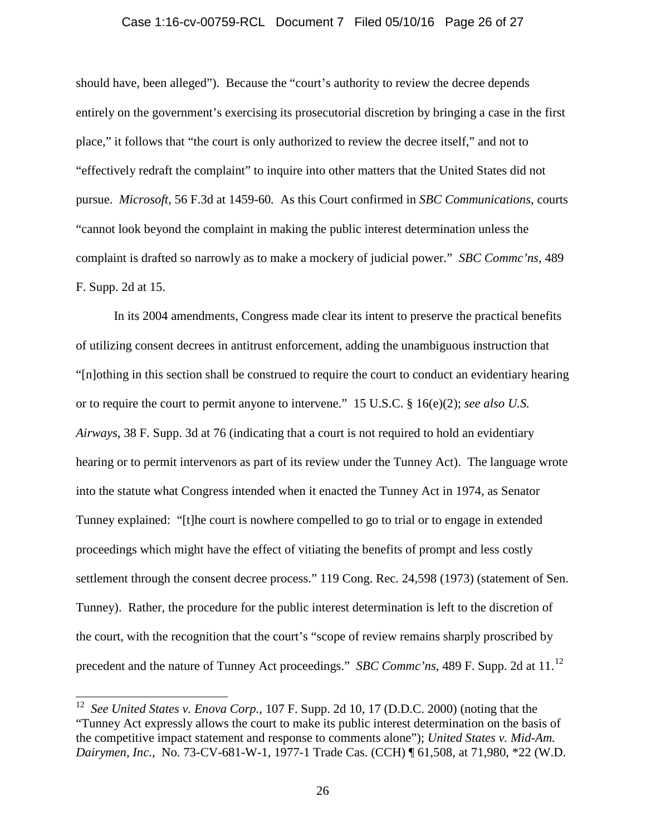# Case 1:16-cv-00759-RCL Document 7 Filed 05/10/16 Page 26 of 27

should have, been alleged"). Because the "court's authority to review the decree depends entirely on the government's exercising its prosecutorial discretion by bringing a case in the first place," it follows that "the court is only authorized to review the decree itself," and not to "effectively redraft the complaint" to inquire into other matters that the United States did not pursue. *Microsoft*, 56 F.3d at 1459-60*.* As this Court confirmed in *SBC Communications*, courts "cannot look beyond the complaint in making the public interest determination unless the complaint is drafted so narrowly as to make a mockery of judicial power." *SBC Commc'ns*, 489 F. Supp. 2d at 15.

 In its 2004 amendments, Congress made clear its intent to preserve the practical benefits of utilizing consent decrees in antitrust enforcement, adding the unambiguous instruction that "[n]othing in this section shall be construed to require the court to conduct an evidentiary hearing or to require the court to permit anyone to intervene." 15 U.S.C. § 16(e)(2); *see also U.S. Airways*, 38 F. Supp. 3d at 76 (indicating that a court is not required to hold an evidentiary hearing or to permit intervenors as part of its review under the Tunney Act). The language wrote into the statute what Congress intended when it enacted the Tunney Act in 1974, as Senator Tunney explained: "[t]he court is nowhere compelled to go to trial or to engage in extended proceedings which might have the effect of vitiating the benefits of prompt and less costly settlement through the consent decree process." 119 Cong. Rec. 24,598 (1973) (statement of Sen. Tunney). Rather, the procedure for the public interest determination is left to the discretion of the court, with the recognition that the court's "scope of review remains sharply proscribed by precedent and the nature of Tunney Act proceedings." *SBC Commc'ns*, 489 F. Supp. 2d at 11.<sup>12</sup>

<sup>12</sup> *See United States v. Enova Corp.*, 107 F. Supp. 2d 10, 17 (D.D.C. 2000) (noting that the "Tunney Act expressly allows the court to make its public interest determination on the basis of the competitive impact statement and response to comments alone"); *United States v. Mid-Am. Dairymen, Inc.*, No. 73-CV-681-W-1, 1977-1 Trade Cas. (CCH) ¶ 61,508, at 71,980, \*22 (W.D.